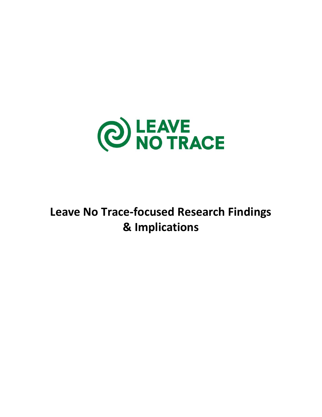

# **Leave No Trace-focused Research Findings & Implications**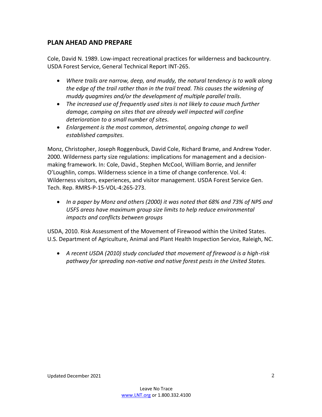## **PLAN AHEAD AND PREPARE**

Cole, David N. 1989. Low-impact recreational practices for wilderness and backcountry. USDA Forest Service, General Technical Report INT-265.

- *Where trails are narrow, deep, and muddy, the natural tendency is to walk along the edge of the trail rather than in the trail tread. This causes the widening of muddy quagmires and/or the development of multiple parallel trails.*
- *The increased use of frequently used sites is not likely to cause much further damage, camping on sites that are already well impacted will confine deterioration to a small number of sites.*
- *Enlargement is the most common, detrimental, ongoing change to well established campsites.*

Monz, Christopher, Joseph Roggenbuck, David Cole, Richard Brame, and Andrew Yoder. 2000. Wilderness party size regulations: implications for management and a decisionmaking framework. In: Cole, David., Stephen McCool, William Borrie, and Jennifer O'Loughlin, comps. Wilderness science in a time of change conference. Vol. 4: Wilderness visitors, experiences, and visitor management. USDA Forest Service Gen. Tech. Rep. RMRS-P-15-VOL-4:265-273.

• *In a paper by Monz and others (2000) it was noted that 68% and 73% of NPS and USFS areas have maximum group size limits to help reduce environmental impacts and conflicts between groups* 

USDA, 2010. Risk Assessment of the Movement of Firewood within the United States. U.S. Department of Agriculture, Animal and Plant Health Inspection Service, Raleigh, NC.

• *A recent USDA (2010) study concluded that movement of firewood is a high-risk pathway for spreading non-native and native forest pests in the United States.*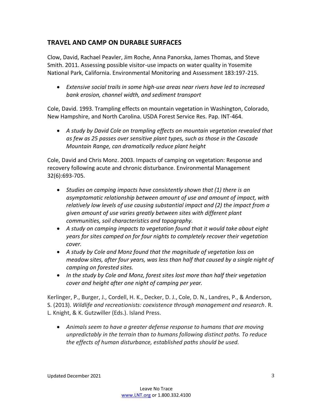## **TRAVEL AND CAMP ON DURABLE SURFACES**

Clow, David, Rachael Peavler, Jim Roche, Anna Panorska, James Thomas, and Steve Smith. 2011. Assessing possible visitor-use impacts on water quality in Yosemite National Park, California. Environmental Monitoring and Assessment 183:197-215.

• *Extensive social trails in some high-use areas near rivers have led to increased bank erosion, channel width, and sediment transport*

Cole, David. 1993. Trampling effects on mountain vegetation in Washington, Colorado, New Hampshire, and North Carolina. USDA Forest Service Res. Pap. INT-464.

• *A study by David Cole on trampling effects on mountain vegetation revealed that as few as 25 passes over sensitive plant types, such as those in the Cascade Mountain Range, can dramatically reduce plant height* 

Cole, David and Chris Monz. 2003. Impacts of camping on vegetation: Response and recovery following acute and chronic disturbance. Environmental Management 32(6):693-705.

- *Studies on camping impacts have consistently shown that (1) there is an asymptomatic relationship between amount of use and amount of impact, with relatively low levels of use causing substantial impact and (2) the impact from a given amount of use varies greatly between sites with different plant communities, soil characteristics and topography.*
- *A study on camping impacts to vegetation found that it would take about eight years for sites camped on for four nights to completely recover their vegetation cover.*
- *A study by Cole and Monz found that the magnitude of vegetation loss on meadow sites, after four years, was less than half that caused by a single night of camping on forested sites.*
- *In the study by Cole and Monz, forest sites lost more than half their vegetation cover and height after one night of camping per year.*

Kerlinger, P., Burger, J., Cordell, H. K., Decker, D. J., Cole, D. N., Landres, P., & Anderson, S. (2013). *Wildlife and recreationists: coexistence through management and research*. R. L. Knight, & K. Gutzwiller (Eds.). Island Press.

• *Animals seem to have a greater defense response to humans that are moving unpredictably in the terrain than to humans following distinct paths. To reduce the effects of human disturbance, established paths should be used.*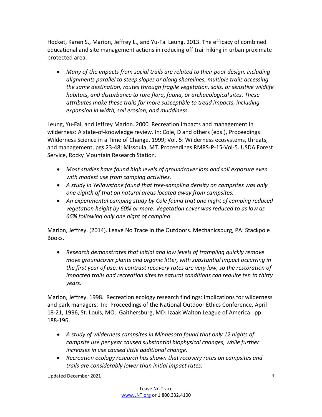Hocket, Karen S., Marion, Jeffrey L., and Yu-Fai Leung. 2013. The efficacy of combined educational and site management actions in reducing off trail hiking in urban proximate protected area.

• *Many of the impacts from social trails are related to their poor design, including alignments parallel to steep slopes or along shorelines, multiple trails accessing the same destination, routes through fragile vegetation, soils, or sensitive wildlife habitats, and disturbance to rare flora, fauna, or archaeological sites. These attributes make these trails far more susceptible to tread impacts, including expansion in width, soil erosion, and muddiness.* 

Leung, Yu-Fai, and Jeffrey Marion. 2000. Recreation impacts and management in wilderness: A state-of-knowledge review. In: Cole, D and others (eds.), Proceedings: Wilderness Science in a Time of Change, 1999; Vol. 5: Wilderness ecosystems, threats, and management, pgs 23-48; Missoula, MT. Proceedings RMRS-P-15-Vol-5. USDA Forest Service, Rocky Mountain Research Station.

- *Most studies have found high levels of groundcover loss and soil exposure even with modest use from camping activities.*
- *A study in Yellowstone found that tree-sampling density on campsites was only one eighth of that on natural areas located away from campsites.*
- *An experimental camping study by Cole found that one night of camping reduced vegetation height by 60% or more. Vegetation cover was reduced to as low as 66% following only one night of camping.*

Marion, Jeffrey. (2014). Leave No Trace in the Outdoors. Mechanicsburg, PA: Stackpole Books.

• *Research demonstrates that initial and low levels of trampling quickly remove move groundcover plants and organic litter, with substantial impact occurring in the first year of use. In contrast recovery rates are very low, so the restoration of impacted trails and recreation sites to natural conditions can require ten to thirty years.* 

Marion, Jeffrey. 1998. Recreation ecology research findings: Implications for wilderness and park managers. In: Proceedings of the National Outdoor Ethics Conference, April 18-21, 1996, St. Louis, MO. Gaithersburg, MD: Izaak Walton League of America. pp. 188-196.

- *A study of wilderness campsites in Minnesota found that only 12 nights of campsite use per year caused substantial biophysical changes, while further increases in use caused little additional change.*
- *Recreation ecology research has shown that recovery rates on campsites and trails are considerably lower than initial impact rates.*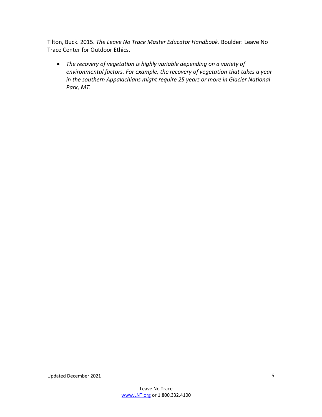Tilton, Buck. 2015. *The Leave No Trace Master Educator Handbook*. Boulder: Leave No Trace Center for Outdoor Ethics.

• *The recovery of vegetation is highly variable depending on a variety of environmental factors. For example, the recovery of vegetation that takes a year in the southern Appalachians might require 25 years or more in Glacier National Park, MT.*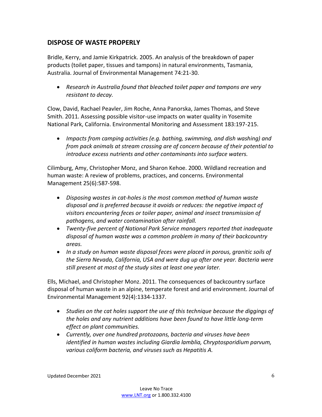## **DISPOSE OF WASTE PROPERLY**

Bridle, Kerry, and Jamie Kirkpatrick. 2005. An analysis of the breakdown of paper products (toilet paper, tissues and tampons) in natural environments, Tasmania, Australia. Journal of Environmental Management 74:21-30.

• *Research in Australia found that bleached toilet paper and tampons are very resistant to decay.* 

Clow, David, Rachael Peavler, Jim Roche, Anna Panorska, James Thomas, and Steve Smith. 2011. Assessing possible visitor-use impacts on water quality in Yosemite National Park, California. Environmental Monitoring and Assessment 183:197-215.

• *Impacts from camping activities (e.g. bathing, swimming, and dish washing) and from pack animals at stream crossing are of concern because of their potential to introduce excess nutrients and other contaminants into surface waters.*

Cilimburg, Amy, Christopher Monz, and Sharon Kehoe. 2000. Wildland recreation and human waste: A review of problems, practices, and concerns. Environmental Management 25(6):587-598.

- *Disposing wastes in cat-holes is the most common method of human waste disposal and is preferred because it avoids or reduces: the negative impact of visitors encountering feces or toiler paper, animal and insect transmission of pathogens, and water contamination after rainfall.*
- *Twenty-five percent of National Park Service managers reported that inadequate disposal of human waste was a common problem in many of their backcountry areas.*
- *In a study on human waste disposal feces were placed in porous, granitic soils of the Sierra Nevada, California, USA and were dug up after one year. Bacteria were still present at most of the study sites at least one year later.*

Ells, Michael, and Christopher Monz. 2011. The consequences of backcountry surface disposal of human waste in an alpine, temperate forest and arid environment. Journal of Environmental Management 92(4):1334-1337.

- *Studies on the cat holes support the use of this technique because the diggings of the holes and any nutrient additions have been found to have little long-term effect on plant communities.*
- *Currently, over one hundred protozoans, bacteria and viruses have been identified in human wastes including Giardia lamblia, Chryptosporidium parvum, various coliform bacteria, and viruses such as Hepatitis A.*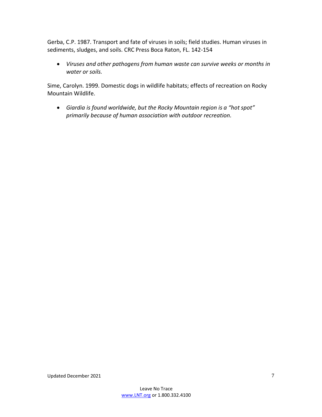Gerba, C.P. 1987. Transport and fate of viruses in soils; field studies. Human viruses in sediments, sludges, and soils. CRC Press Boca Raton, FL. 142-154

• *Viruses and other pathogens from human waste can survive weeks or months in water or soils.* 

Sime, Carolyn. 1999. Domestic dogs in wildlife habitats; effects of recreation on Rocky Mountain Wildlife.

• *Giardia is found worldwide, but the Rocky Mountain region is a "hot spot" primarily because of human association with outdoor recreation.*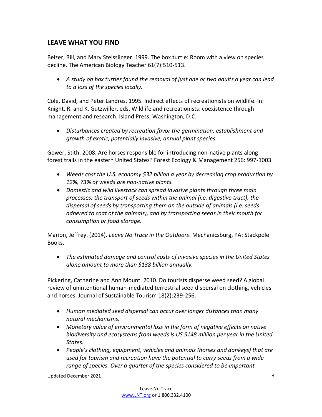## **LEAVE WHAT YOU FIND**

Belzer, Bill, and Mary Steisslinger. 1999. The box turtle: Room with a view on species decline. The American Biology Teacher 61(7):510-513.

• *A study on box turtles found the removal of just one or two adults a year can lead to a loss of the species locally.*

Cole, David, and Peter Landres. 1995. Indirect effects of recreationists on wildlife. In: Knight, R. and K. Gutzwiller, eds. Wildlife and recreationists: coexistence through management and research. Island Press, Washington, D.C.

• *Disturbances created by recreation favor the germination, establishment and growth of exotic, potentially invasive, annual plant species.* 

Gower, Stith. 2008. Are horses responsible for introducing non-native plants along forest trails in the eastern United States? Forest Ecology & Management 256: 997-1003.

- *Weeds cost the U.S. economy \$32 billion a year by decreasing crop production by 12%, 73% of weeds are non-native plants.*
- *Domestic and wild livestock can spread invasive plants through three main processes: the transport of seeds within the animal (i.e. digestive tract), the dispersal of seeds by transporting them on the outside of animals (i.e. seeds adhered to coat of the animals), and by transporting seeds in their mouth for consumption or food storage.*

Marion, Jeffrey. (2014). *Leave No Trace in the Outdoors*. Mechanicsburg, PA: Stackpole Books.

• *The estimated damage and control costs of invasive species in the United States alone amount to more than \$138 billion annually.* 

Pickering, Catherine and Ann Mount. 2010. Do tourists disperse weed seed? A global review of unintentional human-mediated terrestrial seed dispersal on clothing, vehicles and horses. Journal of Sustainable Tourism 18(2):239-256.

- *Human mediated seed dispersal can occur over longer distances than many natural mechanisms.*
- *Monetary value of environmental loss in the form of negative effects on native biodiversity and ecosystems from weeds is US \$148 million per year in the United States.*
- *People's clothing, equipment, vehicles and animals (horses and donkeys) that are used for tourism and recreation have the potential to carry seeds from a wide range of species. Over a quarter of the species considered to be important*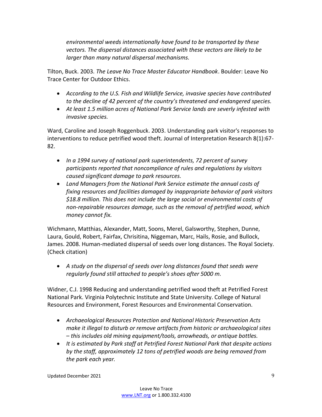*environmental weeds internationally have found to be transported by these vectors. The dispersal distances associated with these vectors are likely to be larger than many natural dispersal mechanisms.*

Tilton, Buck. 2003. *The Leave No Trace Master Educator Handbook*. Boulder: Leave No Trace Center for Outdoor Ethics.

- *According to the U.S. Fish and Wildlife Service, invasive species have contributed to the decline of 42 percent of the country's threatened and endangered species.*
- *At least 1.5 million acres of National Park Service lands are severly infested with invasive species.*

Ward, Caroline and Joseph Roggenbuck. 2003. Understanding park visitor's responses to interventions to reduce petrified wood theft. Journal of Interpretation Research 8(1):67- 82.

- *In a 1994 survey of national park superintendents, 72 percent of survey participants reported that noncompliance of rules and regulations by visitors caused significant damage to park resources.*
- *Land Managers from the National Park Service estimate the annual costs of fixing resources and facilities damaged by inappropriate behavior of park visitors \$18.8 million. This does not include the large social or environmental costs of non-repairable resources damage, such as the removal of petrified wood, which money cannot fix.*

Wichmann, Matthias, Alexander, Matt, Soons, Merel, Galsworthy, Stephen, Dunne, Laura, Gould, Robert, Fairfax, Chrisitina, Niggeman, Marc, Hails, Rosie, and Bullock, James. 2008. Human-mediated dispersal of seeds over long distances. The Royal Society. (Check citation)

• *A study on the dispersal of seeds over long distances found that seeds were regularly found still attached to people's shoes after 5000 m.* 

Widner, C.J. 1998 Reducing and understanding petrified wood theft at Petrified Forest National Park. Virginia Polytechnic Institute and State University. College of Natural Resources and Environment, Forest Resources and Environmental Conservation.

- *Archaeological Resources Protection and National Historic Preservation Acts make it illegal to disturb or remove artifacts from historic or archaeological sites – this includes old mining equipment/tools, arrowheads, or antique bottles.*
- *It is estimated by Park staff at Petrified Forest National Park that despite actions by the staff, approximately 12 tons of petrified woods are being removed from the park each year.*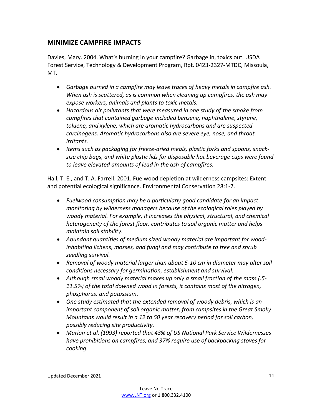## **MINIMIZE CAMPFIRE IMPACTS**

Davies, Mary. 2004. What's burning in your campfire? Garbage in, toxics out. USDA Forest Service, Technology & Development Program, Rpt. 0423-2327-MTDC, Missoula, MT.

- *Garbage burned in a campfire may leave traces of heavy metals in campfire ash. When ash is scattered, as is common when cleaning up campfires, the ash may expose workers, animals and plants to toxic metals.*
- *Hazardous air pollutants that were measured in one study of the smoke from campfires that contained garbage included benzene, naphthalene, styrene, toluene, and xylene, which are aromatic hydrocarbons and are suspected carcinogens. Aromatic hydrocarbons also are severe eye, nose, and throat irritants.*
- *Items such as packaging for freeze-dried meals, plastic forks and spoons, snacksize chip bags, and white plastic lids for disposable hot beverage cups were found to leave elevated amounts of lead in the ash of campfires.*

Hall, T. E., and T. A. Farrell. 2001. Fuelwood depletion at wilderness campsites: Extent and potential ecological significance. Environmental Conservation 28:1-7.

- *Fuelwood consumption may be a particularly good candidate for an impact monitoring by wilderness managers because of the ecological roles played by woody material. For example, it increases the physical, structural, and chemical heterogeneity of the forest floor, contributes to soil organic matter and helps maintain soil stability.*
- *Abundant quantities of medium sized woody material are important for woodinhabiting lichens, mosses, and fungi and may contribute to tree and shrub seedling survival.*
- *Removal of woody material larger than about 5-10 cm in diameter may alter soil conditions necessary for germination, establishment and survival.*
- *Although small woody material makes up only a small fraction of the mass (.5- 11.5%) of the total downed wood in forests, it contains most of the nitrogen, phosphorus, and potassium.*
- *One study estimated that the extended removal of woody debris, which is an important component of soil organic matter, from campsites in the Great Smoky Mountains would result in a 12 to 50 year recovery period for soil carbon, possibly reducing site productivity.*
- *Marion et al. (1993) reported that 43% of US National Park Service Wildernesses have prohibitions on campfires, and 37% require use of backpacking stoves for cooking.*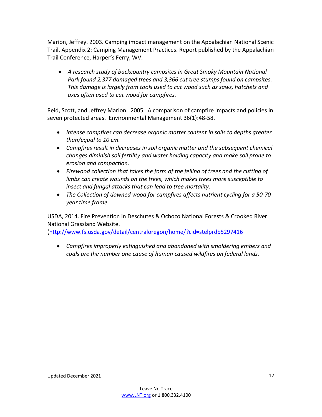Marion, Jeffrey. 2003. Camping impact management on the Appalachian National Scenic Trail. Appendix 2: Camping Management Practices. Report published by the Appalachian Trail Conference, Harper's Ferry, WV.

• *A research study of backcountry campsites in Great Smoky Mountain National Park found 2,377 damaged trees and 3,366 cut tree stumps found on campsites. This damage is largely from tools used to cut wood such as saws, hatchets and axes often used to cut wood for campfires.* 

Reid, Scott, and Jeffrey Marion. 2005. A comparison of campfire impacts and policies in seven protected areas. Environmental Management 36(1):48-58.

- *Intense campfires can decrease organic matter content in soils to depths greater than/equal to 10 cm.*
- *Campfires result in decreases in soil organic matter and the subsequent chemical changes diminish soil fertility and water holding capacity and make soil prone to erosion and compaction.*
- *Firewood collection that takes the form of the felling of trees and the cutting of limbs can create wounds on the trees, which makes trees more susceptible to insect and fungal attacks that can lead to tree mortality.*
- *The Collection of downed wood for campfires affects nutrient cycling for a 50-70 year time frame.*

USDA, 2014. Fire Prevention in Deschutes & Ochoco National Forests & Crooked River National Grassland Website.

[\(http://www.fs.usda.gov/detail/centraloregon/home/?cid=stelprdb5297416](http://www.fs.usda.gov/detail/centraloregon/home/?cid=stelprdb5297416)

• *Campfires improperly extinguished and abandoned with smoldering embers and coals are the number one cause of human caused wildfires on federal lands.*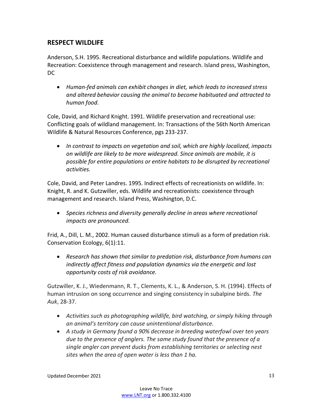## **RESPECT WILDLIFE**

Anderson, S.H. 1995. Recreational disturbance and wildlife populations. Wildlife and Recreation: Coexistence through management and research. Island press, Washington, DC

• *Human-fed animals can exhibit changes in diet, which leads to increased stress and altered behavior causing the animal to become habituated and attracted to human food.* 

Cole, David, and Richard Knight. 1991. Wildlife preservation and recreational use: Conflicting goals of wildland management. In: Transactions of the 56th North American Wildlife & Natural Resources Conference, pgs 233-237.

• *In contrast to impacts on vegetation and soil, which are highly localized, impacts on wildlife are likely to be more widespread. Since animals are mobile, it is possible for entire populations or entire habitats to be disrupted by recreational activities.* 

Cole, David, and Peter Landres. 1995. Indirect effects of recreationists on wildlife. In: Knight, R. and K. Gutzwiller, eds. Wildlife and recreationists: coexistence through management and research. Island Press, Washington, D.C.

• *Species richness and diversity generally decline in areas where recreational impacts are pronounced.* 

Frid, A., Dill, L. M., 2002. Human caused disturbance stimuli as a form of predation risk. Conservation Ecology, 6(1):11.

• *Research has shown that similar to predation risk, disturbance from humans can indirectly affect fitness and population dynamics via the energetic and lost opportunity costs of risk avoidance.*

Gutzwiller, K. J., Wiedenmann, R. T., Clements, K. L., & Anderson, S. H. (1994). Effects of human intrusion on song occurrence and singing consistency in subalpine birds. *The Auk*, 28-37.

- *Activities such as photographing wildlife, bird watching, or simply hiking through an animal's territory can cause unintentional disturbance.*
- *A study in Germany found a 90% decrease in breeding waterfowl over ten years due to the presence of anglers. The same study found that the presence of a single angler can prevent ducks from establishing territories or selecting nest sites when the area of open water is less than 1 ha.*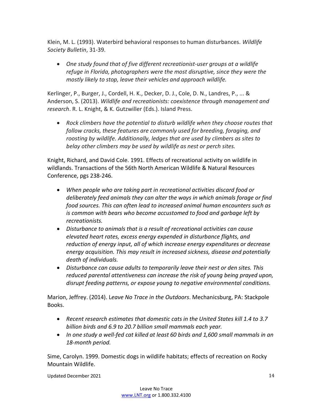Klein, M. L. (1993). Waterbird behavioral responses to human disturbances. *Wildlife Society Bulletin*, 31-39.

• *One study found that of five different recreationist-user groups at a wildlife refuge in Florida, photographers were the most disruptive, since they were the mostly likely to stop, leave their vehicles and approach wildlife.* 

Kerlinger, P., Burger, J., Cordell, H. K., Decker, D. J., Cole, D. N., Landres, P., ... & Anderson, S. (2013). *Wildlife and recreationists: coexistence through management and research*. R. L. Knight, & K. Gutzwiller (Eds.). Island Press.

• *Rock climbers have the potential to disturb wildlife when they choose routes that follow cracks, these features are commonly used for breeding, foraging, and roosting by wildlife. Additionally, ledges that are used by climbers as sites to belay other climbers may be used by wildlife as nest or perch sites.* 

Knight, Richard, and David Cole. 1991. Effects of recreational activity on wildlife in wildlands. Transactions of the 56th North American Wildlife & Natural Resources Conference, pgs 238-246.

- *When people who are taking part in recreational activities discard food or deliberately feed animals they can alter the ways in which animals forage or find food sources. This can often lead to increased animal human encounters such as is common with bears who become accustomed to food and garbage left by recreationists.*
- *Disturbance to animals that is a result of recreational activities can cause elevated heart rates, excess energy expended in disturbance flights, and reduction of energy input, all of which increase energy expenditures or decrease energy acquisition. This may result in increased sickness, disease and potentially death of individuals.*
- *Disturbance can cause adults to temporarily leave their nest or den sites. This reduced parental attentiveness can increase the risk of young being prayed upon, disrupt feeding patterns, or expose young to negative environmental conditions.*

Marion, Jeffrey. (2014). L*eave No Trace in the Outdoors*. Mechanicsburg, PA: Stackpole Books.

- *Recent research estimates that domestic cats in the United States kill 1.4 to 3.7 billion birds and 6.9 to 20.7 billion small mammals each year.*
- *In one study a well-fed cat killed at least 60 birds and 1,600 small mammals in an 18-month period.*

Sime, Carolyn. 1999. Domestic dogs in wildlife habitats; effects of recreation on Rocky Mountain Wildlife.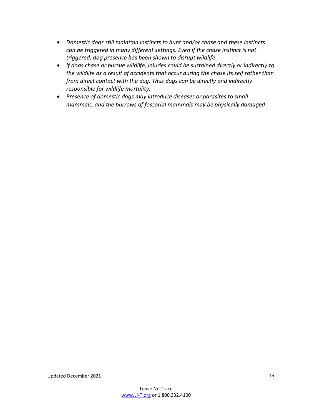- *Domestic dogs still maintain instincts to hunt and/or chase and these instincts can be triggered in many different settings. Even if the chase instinct is not triggered, dog presence has been shown to disrupt wildlife.*
- *If dogs chase or pursue wildlife, injuries could be sustained directly or indirectly to the wildlife as a result of accidents that occur during the chase its self rather than from direct contact with the dog. Thus dogs can be directly and indirectly responsible for wildlife mortality.*
- *Presence of domestic dogs may introduce diseases or parasites to small mammals, and the burrows of fossorial mammals may be physically damaged*.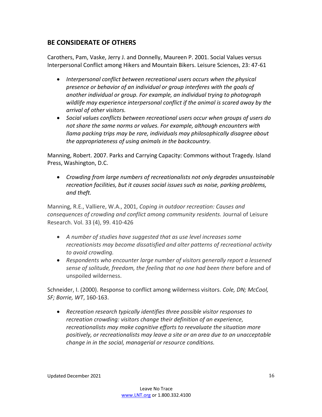## **BE CONSIDERATE OF OTHERS**

Carothers, Pam, Vaske, Jerry J. and Donnelly, Maureen P. 2001. Social Values versus Interpersonal Conflict among Hikers and Mountain Bikers. Leisure Sciences, 23: 47-61

- *Interpersonal conflict between recreational users occurs when the physical presence or behavior of an individual or group interferes with the goals of another individual or group. For example, an individual trying to photograph wildlife may experience interpersonal conflict if the animal is scared away by the arrival of other visitors.*
- *Social values conflicts between recreational users occur when groups of users do not share the same norms or values. For example, although encounters with llama packing trips may be rare, individuals may philosophically disagree about the appropriateness of using animals in the backcountry.*

Manning, Robert. 2007. Parks and Carrying Capacity: Commons without Tragedy. Island Press, Washington, D.C.

• *Crowding from large numbers of recreationalists not only degrades unsustainable recreation facilities, but it causes social issues such as noise, parking problems, and theft.*

Manning, R.E., Valliere, W.A., 2001, *Coping in outdoor recreation: Causes and consequences of crowding and conflict among community residents.* Journal of Leisure Research. Vol. 33 (4), 99. 410-426

- *A number of studies have suggested that as use level increases some recreationists may become dissatisfied and alter patterns of recreational activity to avoid crowding.*
- *Respondents who encounter large number of visitors generally report a lessened sense of solitude, freedom, the feeling that no one had been there* before and of unspoiled wilderness.

Schneider, I. (2000). Response to conflict among wilderness visitors. *Cole, DN; McCool, SF; Borrie, WT*, 160-163.

• *Recreation research typically identifies three possible visitor responses to recreation crowding: visitors change their definition of an experience, recreationalists may make cognitive efforts to reevaluate the situation more positively, or recreationalists may leave a site or an area due to an unacceptable change in in the social, managerial or resource conditions.*